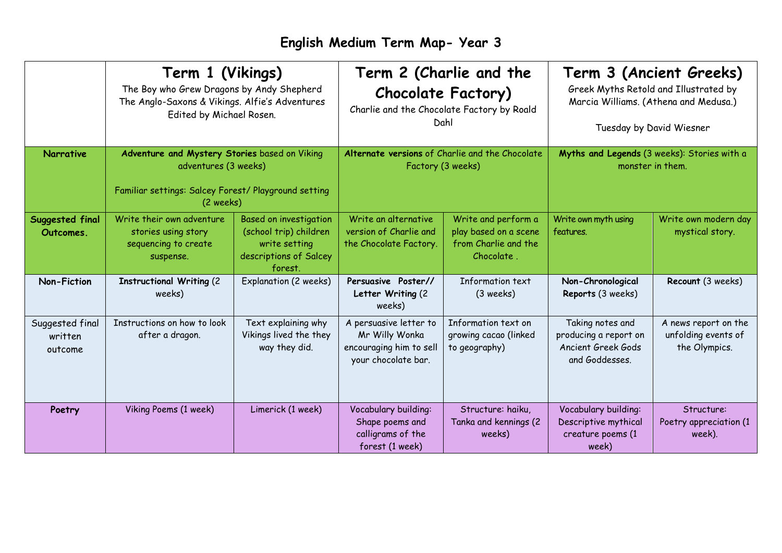|                                       | Term 1 (Vikings)<br>The Boy who Grew Dragons by Andy Shepherd<br>The Anglo-Saxons & Vikings. Alfie's Adventures<br>Edited by Michael Rosen. |                                                                                                               | Term 2 (Charlie and the<br><b>Chocolate Factory)</b><br>Charlie and the Chocolate Factory by Roald<br>Dahl |                                                                                    | Term 3 (Ancient Greeks)<br>Greek Myths Retold and Illustrated by<br>Marcia Williams. (Athena and Medusa.)<br>Tuesday by David Wiesner |                                                              |
|---------------------------------------|---------------------------------------------------------------------------------------------------------------------------------------------|---------------------------------------------------------------------------------------------------------------|------------------------------------------------------------------------------------------------------------|------------------------------------------------------------------------------------|---------------------------------------------------------------------------------------------------------------------------------------|--------------------------------------------------------------|
| <b>Narrative</b>                      | Adventure and Mystery Stories based on Viking<br>adventures (3 weeks)<br>Familiar settings: Salcey Forest/ Playground setting<br>(2 weeks)  |                                                                                                               | Alternate versions of Charlie and the Chocolate<br>Factory (3 weeks)                                       |                                                                                    | Myths and Legends (3 weeks): Stories with a<br>monster in them.                                                                       |                                                              |
| Suggested final<br>Outcomes.          | Write their own adventure<br>stories using story<br>sequencing to create<br>suspense.                                                       | <b>Based on investigation</b><br>(school trip) children<br>write setting<br>descriptions of Salcey<br>forest. | Write an alternative<br>version of Charlie and<br>the Chocolate Factory.                                   | Write and perform a<br>play based on a scene<br>from Charlie and the<br>Chocolate. | Write own myth using<br>features.                                                                                                     | Write own modern day<br>mystical story.                      |
| <b>Non-Fiction</b>                    | <b>Instructional Writing (2)</b><br>weeks)                                                                                                  | Explanation (2 weeks)                                                                                         | Persuasive Poster//<br>Letter Writing (2)<br>weeks)                                                        | Information text<br>$(3$ weeks)                                                    | Non-Chronological<br>Reports (3 weeks)                                                                                                | Recount (3 weeks)                                            |
| Suggested final<br>written<br>outcome | Instructions on how to look<br>after a dragon.                                                                                              | Text explaining why<br>Vikings lived the they<br>way they did.                                                | A persuasive letter to<br>Mr Willy Wonka<br>encouraging him to sell<br>your chocolate bar.                 | Information text on<br>growing cacao (linked<br>to geography)                      | Taking notes and<br>producing a report on<br>Ancient Greek Gods<br>and Goddesses.                                                     | A news report on the<br>unfolding events of<br>the Olympics. |
| Poetry                                | Viking Poems (1 week)                                                                                                                       | Limerick (1 week)                                                                                             | Vocabulary building:<br>Shape poems and<br>calligrams of the<br>forest (1 week)                            | Structure: haiku,<br>Tanka and kennings (2)<br>weeks)                              | Vocabulary building:<br>Descriptive mythical<br>creature poems (1<br>week)                                                            | Structure:<br>Poetry appreciation (1<br>week).               |